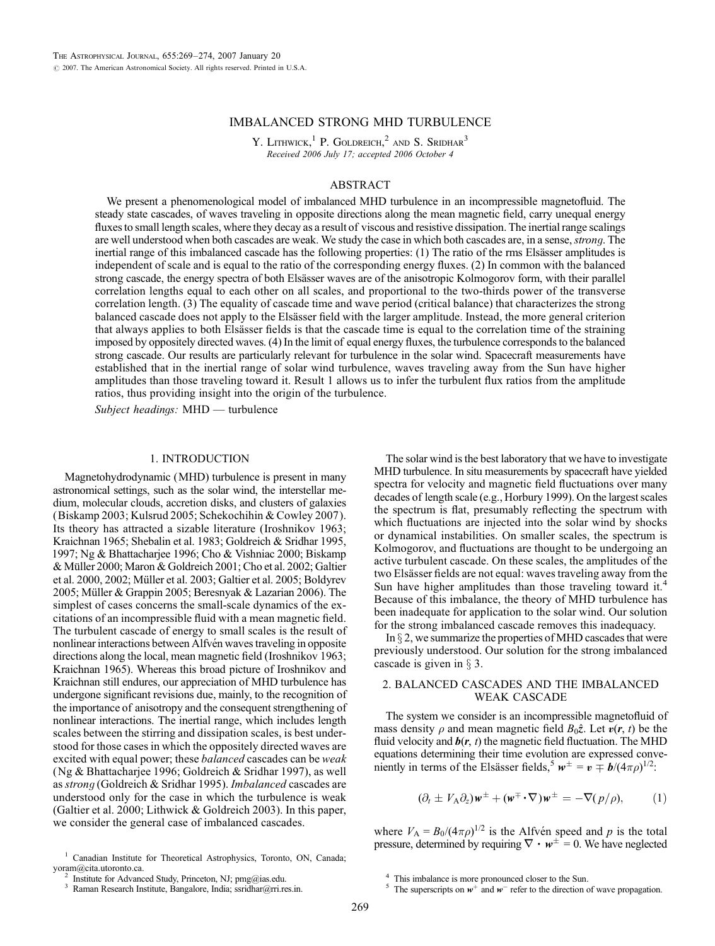# IMBALANCED STRONG MHD TURBULENCE

Y. LITHWICK,<sup>1</sup> P. GOLDREICH,<sup>2</sup> AND S. SRIDHAR<sup>3</sup> Received 2006 July 17; accepted 2006 October 4

## ABSTRACT

We present a phenomenological model of imbalanced MHD turbulence in an incompressible magnetofluid. The steady state cascades, of waves traveling in opposite directions along the mean magnetic field, carry unequal energy fluxes to small length scales, where they decay as a result of viscous and resistive dissipation. The inertial range scalings are well understood when both cascades are weak. We study the case in which both cascades are, in a sense, *strong*. The inertial range of this imbalanced cascade has the following properties: (1) The ratio of the rms Elsässer amplitudes is independent of scale and is equal to the ratio of the corresponding energy fluxes. (2) In common with the balanced strong cascade, the energy spectra of both Elsässer waves are of the anisotropic Kolmogorov form, with their parallel correlation lengths equal to each other on all scales, and proportional to the two-thirds power of the transverse correlation length. (3) The equality of cascade time and wave period (critical balance) that characterizes the strong balanced cascade does not apply to the Elsässer field with the larger amplitude. Instead, the more general criterion that always applies to both Elsässer fields is that the cascade time is equal to the correlation time of the straining imposed by oppositely directed waves. (4) In the limit of equal energy fluxes, the turbulence corresponds to the balanced strong cascade. Our results are particularly relevant for turbulence in the solar wind. Spacecraft measurements have established that in the inertial range of solar wind turbulence, waves traveling away from the Sun have higher amplitudes than those traveling toward it. Result 1 allows us to infer the turbulent flux ratios from the amplitude ratios, thus providing insight into the origin of the turbulence.

Subject headings: MHD — turbulence

## 1. INTRODUCTION

Magnetohydrodynamic (MHD) turbulence is present in many astronomical settings, such as the solar wind, the interstellar medium, molecular clouds, accretion disks, and clusters of galaxies (Biskamp 2003; Kulsrud 2005; Schekochihin & Cowley 2007). Its theory has attracted a sizable literature (Iroshnikov 1963; Kraichnan 1965; Shebalin et al. 1983; Goldreich & Sridhar 1995, 1997; Ng & Bhattacharjee 1996; Cho & Vishniac 2000; Biskamp & Müller 2000; Maron & Goldreich 2001; Cho et al. 2002; Galtier et al. 2000, 2002; Müller et al. 2003; Galtier et al. 2005; Boldyrev 2005; Müller & Grappin 2005; Beresnyak & Lazarian 2006). The simplest of cases concerns the small-scale dynamics of the excitations of an incompressible fluid with a mean magnetic field. The turbulent cascade of energy to small scales is the result of nonlinear interactions between Alfvén waves traveling in opposite directions along the local, mean magnetic field (Iroshnikov 1963; Kraichnan 1965). Whereas this broad picture of Iroshnikov and Kraichnan still endures, our appreciation of MHD turbulence has undergone significant revisions due, mainly, to the recognition of the importance of anisotropy and the consequent strengthening of nonlinear interactions. The inertial range, which includes length scales between the stirring and dissipation scales, is best understood for those cases in which the oppositely directed waves are excited with equal power; these *balanced* cascades can be *weak* (Ng & Bhattacharjee 1996; Goldreich & Sridhar 1997), as well as strong (Goldreich & Sridhar 1995). Imbalanced cascades are understood only for the case in which the turbulence is weak (Galtier et al. 2000; Lithwick & Goldreich 2003). In this paper, we consider the general case of imbalanced cascades.

<sup>1</sup> Canadian Institute for Theoretical Astrophysics, Toronto, ON, Canada; yoram@cita.utoronto.ca.<br>
<sup>2</sup> Institute for Advanced Study, Princeton, NJ; pmg@ias.edu.<br>
<sup>3</sup> Raman Research Institute, Bangalore, India; ssridhar@rri.res.in.

The solar wind is the best laboratory that we have to investigate MHD turbulence. In situ measurements by spacecraft have yielded spectra for velocity and magnetic field fluctuations over many decades of length scale (e.g., Horbury 1999). On the largest scales the spectrum is flat, presumably reflecting the spectrum with which fluctuations are injected into the solar wind by shocks or dynamical instabilities. On smaller scales, the spectrum is Kolmogorov, and fluctuations are thought to be undergoing an active turbulent cascade. On these scales, the amplitudes of the two Elsässer fields are not equal: waves traveling away from the Sun have higher amplitudes than those traveling toward it.<sup>4</sup> Because of this imbalance, the theory of MHD turbulence has been inadequate for application to the solar wind. Our solution for the strong imbalanced cascade removes this inadequacy.

In  $\S$  2, we summarize the properties of MHD cascades that were previously understood. Our solution for the strong imbalanced cascade is given in  $\S$  3.

# 2. BALANCED CASCADES AND THE IMBALANCED WEAK CASCADE

The system we consider is an incompressible magnetofluid of mass density  $\rho$  and mean magnetic field  $B_0\hat{z}$ . Let  $v(r, t)$  be the fluid velocity and  $b(r, t)$  the magnetic field fluctuation. The MHD equations determining their time evolution are expressed conveniently in terms of the Elsässer fields,<sup>5</sup>  $w^{\pm} = v \pm \frac{b}{(4\pi\rho)^{1/2}}$ .

$$
(\partial_t \pm V_A \partial_z) \mathbf{w}^{\pm} + (\mathbf{w}^{\mp} \cdot \nabla) \mathbf{w}^{\pm} = -\nabla (p/\rho), \qquad (1)
$$

where  $V_A = B_0/(4\pi\rho)^{1/2}$  is the Alfvén speed and p is the total pressure, determined by requiring  $\nabla \cdot w^{\pm} = 0$ . We have neglected

<sup>&</sup>lt;sup>4</sup> This imbalance is more pronounced closer to the Sun.<br><sup>5</sup> The superscripts on  $w^+$  and  $w^-$  refer to the direction of wave propagation.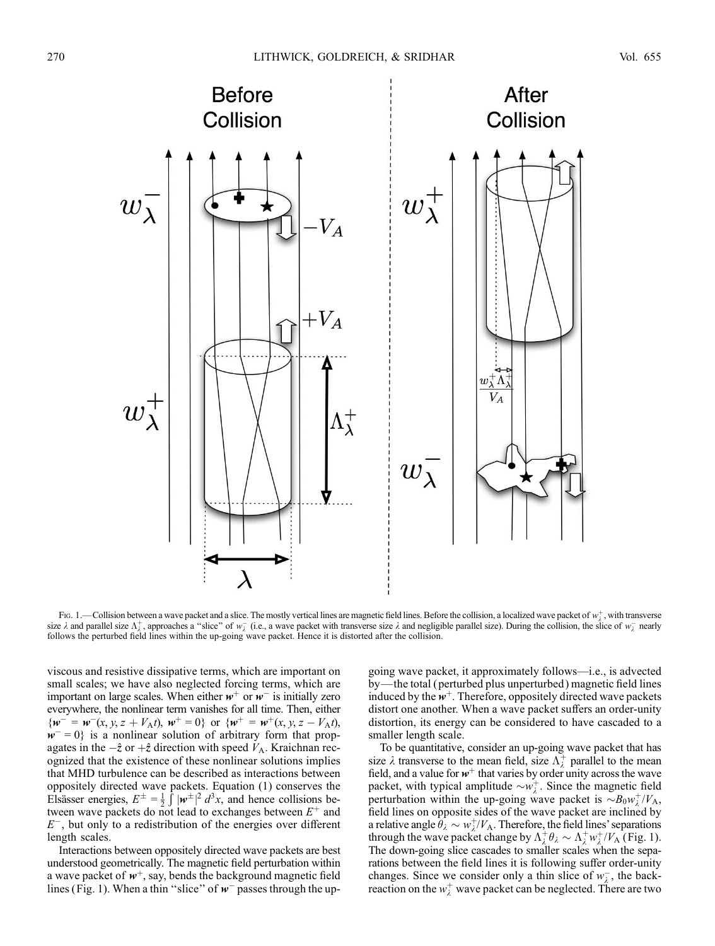

Fig. 1.—Collision between a wave packet and a slice. The mostly vertical lines are magnetic field lines. Before the collision, a localized wave packet of  $w^{\pm}_{\lambda}$ , with transverse size  $\lambda$  and parallel size  $\Lambda_{\lambda}^{+}$ , approaches a "slice" of  $w_{\lambda}^{-}$  (i.e., a wave packet with transverse size  $\lambda$  and negligible parallel size). During the collision, the slice of  $w_{\lambda}^{-}$  nearly follows the perturbed field lines within the up-going wave packet. Hence it is distorted after the collision.

viscous and resistive dissipative terms, which are important on small scales; we have also neglected forcing terms, which are important on large scales. When either  $w^+$  or  $w^-$  is initially zero everywhere, the nonlinear term vanishes for all time. Then, either  $\{w^- = w^-(x, y, z + V_A t), w^+ = 0\}$  or  $\{w^+ = w^+(x, y, z - V_A t)\}$  $w^- = 0$  is a nonlinear solution of arbitrary form that propagates in the  $-\hat{z}$  or  $+\hat{z}$  direction with speed  $V_A$ . Kraichnan recognized that the existence of these nonlinear solutions implies that MHD turbulence can be described as interactions between oppositely directed wave packets. Equation (1) conserves the Elsässer energies,  $E^{\pm} = \frac{1}{2}$  $\int |\mathbf{w}^{\pm}|^2 d^3x$ , and hence collisions between wave packets do not lead to exchanges between  $E^+$  and  $E^-$ , but only to a redistribution of the energies over different length scales.

Interactions between oppositely directed wave packets are best understood geometrically. The magnetic field perturbation within a wave packet of  $w^+$ , say, bends the background magnetic field lines (Fig. 1). When a thin "slice" of  $w^-$  passes through the upgoing wave packet, it approximately follows—i.e., is advected by—the total ( perturbed plus unperturbed ) magnetic field lines induced by the  $w^+$ . Therefore, oppositely directed wave packets distort one another. When a wave packet suffers an order-unity distortion, its energy can be considered to have cascaded to a smaller length scale.

To be quantitative, consider an up-going wave packet that has size  $\lambda$  transverse to the mean field, size  $\Lambda_{\lambda}^{+}$  parallel to the mean field, and a value for  $w^+$  that varies by order unity across the wave packet, with typical amplitude  $\sim w_{\lambda}^{+}$ . Since the magnetic field perturbation within the up-going wave packet is  $\sim B_0 w_\lambda^+/V_A$ , field lines on opposite sides of the wave packet are inclined by a relative angle  $\hat{\theta}_{\lambda} \sim w_{\lambda}^{+}/V_{A}$ . Therefore, the field lines' separations through the wave packet change by  $\Lambda_{\lambda}^{+}\theta_{\lambda} \sim \Lambda_{\lambda}^{+} w_{\lambda}^{+}/V_{A}$  (Fig. 1). The down-going slice cascades to smaller scales when the separations between the field lines it is following suffer order-unity changes. Since we consider only a thin slice of  $w_{\lambda}^-$ , the backreaction on the  $w^+_{\lambda}$  wave packet can be neglected. There are two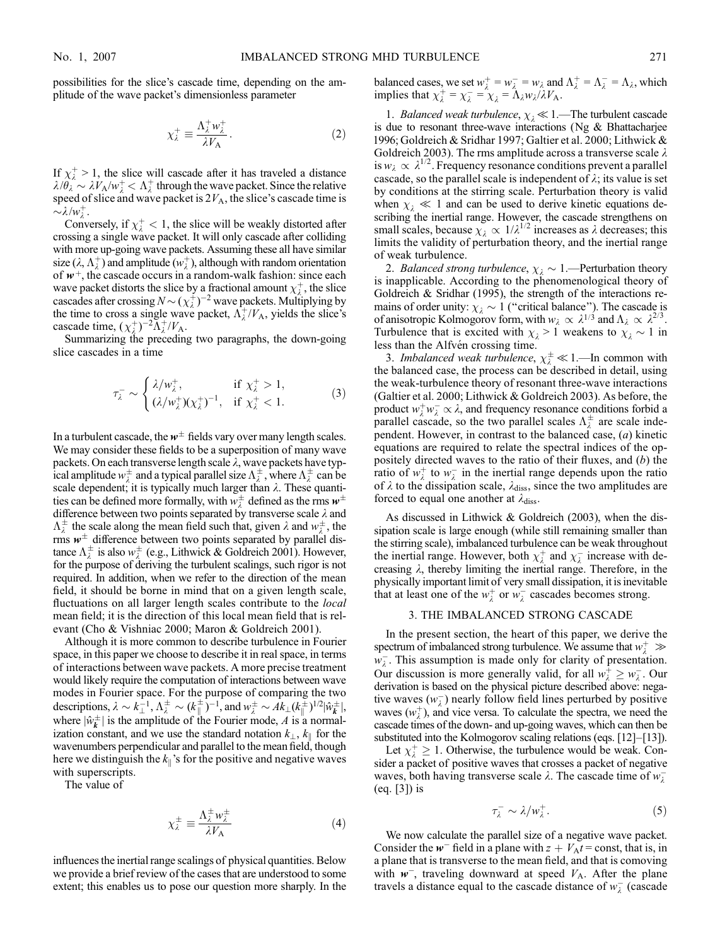possibilities for the slice's cascade time, depending on the amplitude of the wave packet's dimensionless parameter

$$
\chi_{\lambda}^{+} \equiv \frac{\Lambda_{\lambda}^{+} w_{\lambda}^{+}}{\lambda V_{A}}.
$$
 (2)

If  $\chi^+$  > 1, the slice will cascade after it has traveled a distance  $\lambda/\theta_{\lambda} \sim \lambda V_{A}/w_{\lambda}^{+} < \Lambda_{\lambda}^{+}$  through the wave packet. Since the relative speed of slice and wave packet is  $2V_A$ , the slice's cascade time is  $\sim \lambda/w_{\lambda}^+$ .

Conversely, if  $\chi^+_{\lambda}$  < 1, the slice will be weakly distorted after crossing a single wave packet. It will only cascade after colliding with more up-going wave packets. Assuming these all have similar size  $(\lambda, \Lambda_{\lambda}^+)$  and amplitude  $(w_{\lambda}^+)$ , although with random orientation of  $w^+$ , the cascade occurs in a random-walk fashion: since each wave packet distorts the slice by a fractional amount  $\chi^+_{\lambda}$ , the slice cascades after crossing  $N \sim (\chi_\lambda^+)^{-2}$  wave packets. Multiplying by the time to cross a single wave packet,  $\Lambda_{\lambda}^{+}/V_A$ , yields the slice's cascade time,  $(\chi_{\lambda}^+)^{-2} \tilde{\Lambda}_{\lambda}^+ / V_A$ .

Summarizing the preceding two paragraphs, the down-going slice cascades in a time

$$
\tau_{\lambda}^{-} \sim \begin{cases} \lambda/w_{\lambda}^{+}, & \text{if } \chi_{\lambda}^{+} > 1, \\ (\lambda/w_{\lambda}^{+})(\chi_{\lambda}^{+})^{-1}, & \text{if } \chi_{\lambda}^{+} < 1. \end{cases}
$$
 (3)

In a turbulent cascade, the  $w^{\pm}$  fields vary over many length scales. We may consider these fields to be a superposition of many wave packets. On each transverse length scale  $\lambda$ , wave packets have typical amplitude  $w^{\pm}_{\lambda}$  and a typical parallel size  $\Lambda_{\lambda}^{\pm}$ , where  $\Lambda_{\lambda}^{\pm}$  can be scale dependent; it is typically much larger than  $\lambda$ . These quantities can be defined more formally, with  $w_{\lambda}^{\pm}$  defined as the rms  $w^{\pm}$ difference between two points separated by transverse scale  $\lambda$  and  $\Lambda_{\lambda}^{\pm}$  the scale along the mean field such that, given  $\lambda$  and  $w_{\lambda}^{\pm}$ , the rms  $w^{\pm}$  difference between two points separated by parallel distance  $\Lambda_{\lambda}^{\pm}$  is also  $w_{\lambda}^{\pm}$  (e.g., Lithwick & Goldreich 2001). However, for the purpose of deriving the turbulent scalings, such rigor is not required. In addition, when we refer to the direction of the mean field, it should be borne in mind that on a given length scale, fluctuations on all larger length scales contribute to the *local* mean field; it is the direction of this local mean field that is relevant (Cho & Vishniac 2000; Maron & Goldreich 2001).

Although it is more common to describe turbulence in Fourier space, in this paper we choose to describe it in real space, in terms of interactions between wave packets. A more precise treatment would likely require the computation of interactions between wave modes in Fourier space. For the purpose of comparing the two descriptions,  $\lambda \sim k_\perp^{-1}$ ,  $\Lambda_\lambda^\pm \sim (k_\parallel^\pm)^{-1}$ , and  $w_\lambda^\pm \sim A k_\perp (k_\parallel^\pm)^{1/2} |\hat{w}_k^\pm|$ , where  $|\hat{w}_k^{\perp}|$  is the amplitude of the Fourier mode, A is a normalization constant, and we use the standard notation  $k_{\perp}, k_{\parallel}$  for the wavenumbers perpendicular and parallel to the mean field, though here we distinguish the  $k_{\parallel}$ 's for the positive and negative waves with superscripts.

The value of

$$
\chi_{\lambda}^{\pm} \equiv \frac{\Lambda_{\lambda}^{\pm} w_{\lambda}^{\pm}}{\lambda V_{\mathbf{A}}} \tag{4}
$$

influences the inertial range scalings of physical quantities. Below we provide a brief review of the cases that are understood to some extent; this enables us to pose our question more sharply. In the balanced cases, we set  $w_{\lambda}^+ = w_{\lambda}^- = w_{\lambda}$  and  $\Lambda_{\lambda}^+ = \Lambda_{\lambda}^- = \Lambda_{\lambda}$ , which implies that  $\chi_{\lambda}^{+} = \chi_{\lambda}^{-} = \chi_{\lambda} = \tilde{\Lambda}_{\lambda} w_{\lambda}/\lambda V_{A}$ .

1. Balanced weak turbulence,  $\chi_1 \ll 1$ .—The turbulent cascade is due to resonant three-wave interactions (Ng  $\&$  Bhattacharjee 1996; Goldreich & Sridhar 1997; Galtier et al. 2000; Lithwick & Goldreich 2003). The rms amplitude across a transverse scale  $\lambda$ is  $w_{\lambda} \propto \lambda^{1/2}$ . Frequency resonance conditions prevent a parallel cascade, so the parallel scale is independent of  $\lambda$ ; its value is set by conditions at the stirring scale. Perturbation theory is valid when  $x_{\lambda} \ll 1$  and can be used to derive kinetic equations describing the inertial range. However, the cascade strengthens on small scales, because  $\chi_{\lambda} \propto 1/\lambda^{1/2}$  increases as  $\lambda$  decreases; this limits the validity of perturbation theory, and the inertial range of weak turbulence.

2. Balanced strong turbulence,  $\chi_{\lambda} \sim 1$ . Perturbation theory is inapplicable. According to the phenomenological theory of Goldreich & Sridhar (1995), the strength of the interactions remains of order unity:  $\chi_{\lambda} \sim 1$  ("critical balance"). The cascade is of anisotropic Kolmogorov form, with  $w_{\lambda} \propto \lambda^{1/3}$  and  $\Lambda_{\lambda} \propto \lambda^{2/3}$ . Turbulence that is excited with  $\chi_{\lambda} > 1$  weakens to  $\chi_{\lambda} \sim 1$  in less than the Alfvén crossing time.

3. Imbalanced weak turbulence,  $\chi_{\lambda}^{\pm} \ll 1$ .—In common with the balanced case, the process can be described in detail, using the weak-turbulence theory of resonant three-wave interactions (Galtier et al. 2000; Lithwick & Goldreich 2003). As before, the product  $w^+_{\lambda} w^-_{\lambda} \propto \lambda$ , and frequency resonance conditions forbid a parallel cascade, so the two parallel scales  $\Lambda_{\lambda}^{\pm}$  are scale independent. However, in contrast to the balanced case, (a) kinetic equations are required to relate the spectral indices of the oppositely directed waves to the ratio of their fluxes, and  $(b)$  the ratio of  $w_{\lambda}^{+}$  to  $w_{\lambda}^{-}$  in the inertial range depends upon the ratio of  $\lambda$  to the dissipation scale,  $\lambda_{\text{diss}}$ , since the two amplitudes are forced to equal one another at  $\lambda_{\text{diss}}$ .

As discussed in Lithwick & Goldreich (2003), when the dissipation scale is large enough (while still remaining smaller than the stirring scale), imbalanced turbulence can be weak throughout the inertial range. However, both  $\chi^{\dagger}_{\lambda}$  and  $\chi^{-}_{\lambda}$  increase with decreasing  $\lambda$ , thereby limiting the inertial range. Therefore, in the physically important limit of very small dissipation, it is inevitable that at least one of the  $w^+_{\lambda}$  or  $w^-_{\lambda}$  cascades becomes strong.

#### 3. THE IMBALANCED STRONG CASCADE

In the present section, the heart of this paper, we derive the spectrum of imbalanced strong turbulence. We assume that  $w^+_{\lambda} \gg$  $w_{\lambda}$ . This assumption is made only for clarity of presentation. Our discussion is more generally valid, for all  $w_{\lambda}^{+} \geq w_{\lambda}^{-}$ . Our derivation is based on the physical picture described above: negative waves  $(w_{\lambda}^-)$  nearly follow field lines perturbed by positive waves  $(w_\lambda^+)$ , and vice versa. To calculate the spectra, we need the cascade times of the down- and up-going waves, which can then be substituted into the Kolmogorov scaling relations (eqs.  $[12]$ – $[13]$ ).

Let  $\chi^+$   $\geq$  1. Otherwise, the turbulence would be weak. Consider a packet of positive waves that crosses a packet of negative waves, both having transverse scale  $\lambda$ . The cascade time of  $w_{\lambda}^-$ (eq. [3]) is

$$
\tau_{\lambda}^{-} \sim \lambda/w_{\lambda}^{+}.\tag{5}
$$

We now calculate the parallel size of a negative wave packet. Consider the  $w^-$  field in a plane with  $z + V_A t =$ const, that is, in a plane that is transverse to the mean field, and that is comoving with  $w^-$ , traveling downward at speed  $V_A$ . After the plane travels a distance equal to the cascade distance of  $w_{\lambda}^-$  (cascade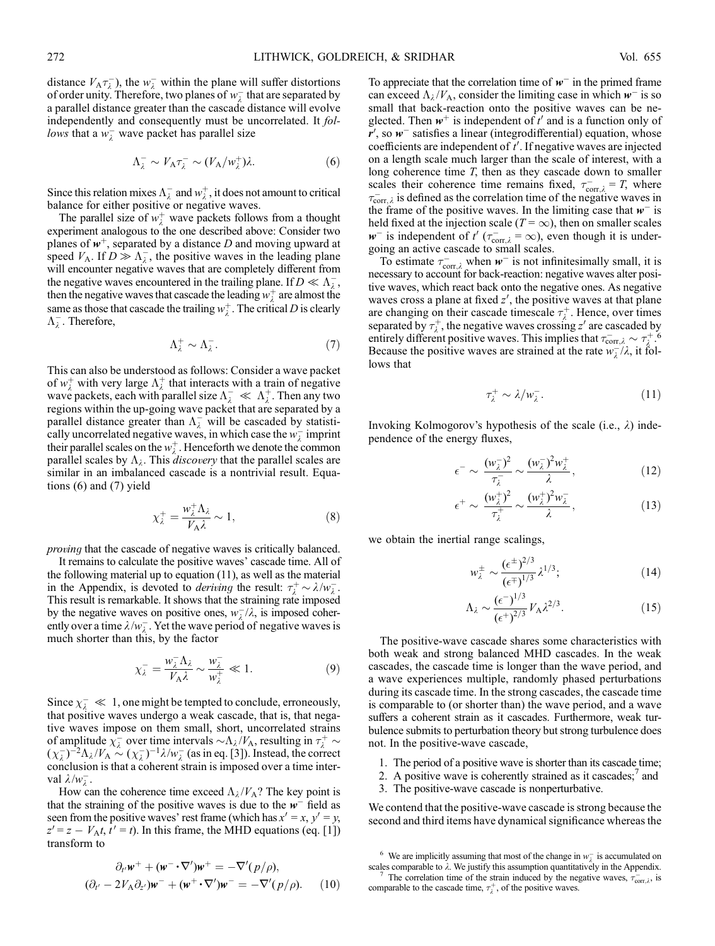distance  $V_A \tau_{\lambda}^-$ , the  $w_{\lambda}^-$  within the plane will suffer distortions of order unity. Therefore, two planes of  $w_{\lambda}^-$  that are separated by a parallel distance greater than the cascade distance will evolve independently and consequently must be uncorrelated. It follows that a  $w_{\lambda}^-$  wave packet has parallel size

$$
\Lambda_{\lambda}^{-} \sim V_{A} \tau_{\lambda}^{-} \sim (V_{A}/w_{\lambda}^{+})\lambda.
$$
 (6)

Since this relation mixes  $\Lambda_{\lambda}^-$  and  $w_{\lambda}^+$ , it does not amount to critical balance for either positive or negative waves.

The parallel size of  $w^+_{\lambda}$  wave packets follows from a thought experiment analogous to the one described above: Consider two planes of  $w^+$ , separated by a distance D and moving upward at speed  $V_A$ . If  $D \gg \Lambda_{\lambda}^-$ , the positive waves in the leading plane will encounter negative waves that are completely different from the negative waves encountered in the trailing plane. If  $D \ll \Lambda_{\lambda}^{-}$ , then the negative waves that cascade the leading  $w^+_{\lambda}$  are almost the same as those that cascade the trailing  $w_{\lambda}^{+}$ . The critical D is clearly  $\Lambda_{\lambda}^-$ . Therefore,

$$
\Lambda_{\lambda}^{+} \sim \Lambda_{\lambda}^{-}.\tag{7}
$$

This can also be understood as follows: Consider a wave packet of  $w^+_{\lambda}$  with very large  $\Lambda^+_{\lambda}$  that interacts with a train of negative wave packets, each with parallel size  $\Lambda_{\lambda}^- \ll \Lambda_{\lambda}^+$ . Then any two regions within the up-going wave packet that are separated by a parallel distance greater than  $\Lambda_{\lambda}^-$  will be cascaded by statistically uncorrelated negative waves, in which case the  $w_\lambda^-$  imprint their parallel scales on the  $w^+_{\lambda}$ . Henceforth we denote the common parallel scales by  $\Lambda_{\lambda}$ . This *discovery* that the parallel scales are similar in an imbalanced cascade is a nontrivial result. Equations (6) and (7) yield

$$
\chi_{\lambda}^{+} = \frac{w_{\lambda}^{+} \Lambda_{\lambda}}{V_{\mathbf{A}} \lambda} \sim 1, \tag{8}
$$

proving that the cascade of negative waves is critically balanced.

It remains to calculate the positive waves' cascade time. All of the following material up to equation (11), as well as the material in the Appendix, is devoted to *deriving* the result:  $\tau_{\lambda}^{+} \sim \lambda/w_{\lambda}^{-}$ . This result is remarkable. It shows that the straining rate imposed by the negative waves on positive ones,  $w_{\lambda}^{-}/\lambda$ , is imposed coherently over a time  $\lambda/w_{\lambda}$ . Yet the wave period of negative waves is much shorter than this, by the factor

$$
\chi_{\lambda}^{-} = \frac{w_{\lambda}^{-} \Lambda_{\lambda}}{V_{\lambda} \lambda} \sim \frac{w_{\lambda}^{-}}{w_{\lambda}^{+}} \ll 1.
$$
 (9)

Since  $\chi_{\lambda}^- \ll 1$ , one might be tempted to conclude, erroneously, that positive waves undergo a weak cascade, that is, that negative waves impose on them small, short, uncorrelated strains of amplitude  $\chi^{-}_\lambda$  over time intervals  $\sim \Lambda_\lambda / V_A$ , resulting in  $\tau^+_\lambda \sim$  $(\chi_{\lambda}^-)^{-2} \Lambda_{\lambda}/V_A \sim (\chi_{\lambda}^-)^{-1} \lambda/w_{\lambda}^-$  (as in eq. [3]). Instead, the correct conclusion is that a coherent strain is imposed over a time interval  $\lambda/w_{\lambda}^-$ .

How can the coherence time exceed  $\Lambda_{\lambda}/V_{A}$ ? The key point is that the straining of the positive waves is due to the  $w^-$  field as seen from the positive waves' rest frame (which has  $x' = x$ ,  $y' = y$ ,  $z' = z - V_A t$ ,  $\bar{t}' = t$ ). In this frame, the MHD equations (eq. [1]) transform to

$$
\partial_{t'} \mathbf{w}^+ + (\mathbf{w}^- \cdot \nabla') \mathbf{w}^+ = -\nabla'(p/\rho),
$$
  

$$
(\partial_{t'} - 2V_{A} \partial_{z'}) \mathbf{w}^- + (\mathbf{w}^+ \cdot \nabla') \mathbf{w}^- = -\nabla'(p/\rho). \qquad (10)
$$

To appreciate that the correlation time of  $w^-$  in the primed frame can exceed  $\Lambda_{\lambda}/V_A$ , consider the limiting case in which  $w^-$  is so small that back-reaction onto the positive waves can be neglected. Then  $w^+$  is independent of  $t'$  and is a function only of  $r'$ , so  $w^-$  satisfies a linear (integrodifferential) equation, whose coefficients are independent of  $t'$ . If negative waves are injected on a length scale much larger than the scale of interest, with a long coherence time T, then as they cascade down to smaller scales their coherence time remains fixed,  $\tau_{\text{corr},\lambda}^- = T$ , where  $\tau_{\text{corr},\lambda}^-$  is defined as the correlation time of the negative waves in the frame of the positive waves. In the limiting case that  $w^-$  is held fixed at the injection scale ( $T = \infty$ ), then on smaller scales  $w^-$  is independent of  $t'$  ( $\tau_{\text{corr},\lambda}^-$  =  $\infty$ ), even though it is undergoing an active cascade to small scales.

To estimate  $\tau_{\text{corr},\lambda}^-$  when  $w^-$  is not infinitesimally small, it is necessary to account for back-reaction: negative waves alter positive waves, which react back onto the negative ones. As negative waves cross a plane at fixed  $z'$ , the positive waves at that plane are changing on their cascade timescale  $\tau_{\lambda}^{+}$ . Hence, over times separated by  $\tau_{\lambda}^{+}$ , the negative waves crossing  $z'$  are cascaded by entirely different positive waves. This implies that  $\tau_{\text{corr},\lambda}^- \sim \tau_{\lambda}^+$ .<sup>6</sup> Because the positive waves are strained at the rate  $w_{\lambda}^{-}/\lambda$ , it follows that

$$
\tau_{\lambda}^{+} \sim \lambda/w_{\lambda}^{-}. \tag{11}
$$

Invoking Kolmogorov's hypothesis of the scale (i.e.,  $\lambda$ ) independence of the energy fluxes,

$$
\epsilon^{-} \sim \frac{(w_{\lambda}^{-})^{2}}{\tau_{\lambda}^{-}} \sim \frac{(w_{\lambda}^{-})^{2} w_{\lambda}^{+}}{\lambda}, \qquad (12)
$$

$$
\epsilon^+ \sim \frac{(w_\lambda^+)^2}{\tau_\lambda^+} \sim \frac{(w_\lambda^+)^2 w_\lambda^-}{\lambda},\tag{13}
$$

we obtain the inertial range scalings,

$$
w_{\lambda}^{\pm} \sim \frac{(\epsilon^{\pm})^{2/3}}{(\epsilon^{\mp})^{1/3}} \lambda^{1/3};\tag{14}
$$

$$
\Lambda_{\lambda} \sim \frac{(\epsilon^{-})^{1/3}}{(\epsilon^{+})^{2/3}} V_{\rm A} \lambda^{2/3}.
$$
 (15)

The positive-wave cascade shares some characteristics with both weak and strong balanced MHD cascades. In the weak cascades, the cascade time is longer than the wave period, and a wave experiences multiple, randomly phased perturbations during its cascade time. In the strong cascades, the cascade time is comparable to (or shorter than) the wave period, and a wave suffers a coherent strain as it cascades. Furthermore, weak turbulence submits to perturbation theory but strong turbulence does not. In the positive-wave cascade,

- 1. The period of a positive wave is shorter than its cascade time;
- 2. A positive wave is coherently strained as it cascades;<sup>7</sup> and
- 3. The positive-wave cascade is nonperturbative.

We contend that the positive-wave cascade is strong because the second and third items have dynamical significance whereas the

<sup>&</sup>lt;sup>6</sup> We are implicitly assuming that most of the change in  $w_{\lambda}^-$  is accumulated on

scales comparable to  $\lambda$ . We justify this assumption quantitatively in the Appendix.<br><sup>7</sup> The correlation time of the strain induced by the negative waves,  $\tau_{\text{corr},\lambda}^{-}$ , is comparable to the cascade time,  $\tau_{\lambda}^{+}$ , of the positive waves.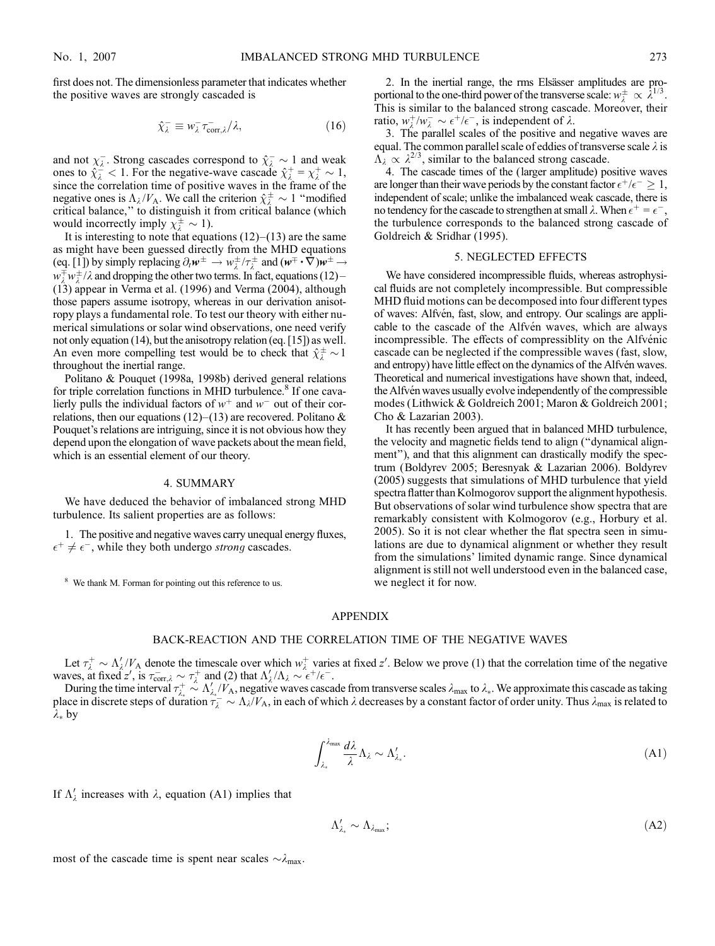first does not. The dimensionless parameter that indicates whether the positive waves are strongly cascaded is

$$
\hat{\chi}_{\lambda}^{-} \equiv w_{\lambda}^{-} \tau_{\text{corr},\lambda}^{-} / \lambda, \qquad (16)
$$

and not  $\chi_{\lambda}^-$ . Strong cascades correspond to  $\hat{\chi}_{\lambda}^- \sim 1$  and weak ones to  $\hat{\chi}^2_{\lambda} < 1$ . For the negative-wave cascade  $\hat{\chi}^+_{\lambda} = \chi^+_{\lambda} \sim 1$ , since the correlation time of positive waves in the frame of the negative ones is  $\Lambda_{\lambda}/V_A$ . We call the criterion  $\hat{\chi}^{\pm}_{\lambda} \sim 1$  "modified critical balance,'' to distinguish it from critical balance (which would incorrectly imply  $\chi_{\lambda}^{\pm} \sim 1$ ).

It is interesting to note that equations  $(12)-(13)$  are the same as might have been guessed directly from the MHD equations (eq. [1]) by simply replacing  $\partial_t \mathbf{w}^\pm \to w_\lambda^\pm / \tau_\lambda^\pm$  and  $(\mathbf{w}^\mp \cdot \nabla) \mathbf{w}^\pm \to$  $w_{\lambda}^{\pm}w_{\lambda}^{\pm}/\lambda$  and dropping the other two terms. In fact, equations (12) – (13) appear in Verma et al. (1996) and Verma (2004), although those papers assume isotropy, whereas in our derivation anisotropy plays a fundamental role. To test our theory with either numerical simulations or solar wind observations, one need verify not only equation (14), but the anisotropy relation (eq. [15]) as well. An even more compelling test would be to check that  $\hat{\chi}^{\pm}_{\lambda} \sim 1$ throughout the inertial range.

Politano & Pouquet (1998a, 1998b) derived general relations for triple correlation functions in MHD turbulence.<sup>8</sup> If one cavalierly pulls the individual factors of  $w^+$  and  $w^-$  out of their correlations, then our equations (12)–(13) are recovered. Politano  $\&$ Pouquet's relations are intriguing, since it is not obvious how they depend upon the elongation of wave packets about the mean field, which is an essential element of our theory.

## 4. SUMMARY

We have deduced the behavior of imbalanced strong MHD turbulence. Its salient properties are as follows:

1. The positive and negative waves carry unequal energy fluxes,  $\epsilon^+ \neq \epsilon^-$ , while they both undergo *strong* cascades.

<sup>8</sup> We thank M. Forman for pointing out this reference to us.

2. In the inertial range, the rms Elsässer amplitudes are proportional to the one-third power of the transverse scale:  $w^{\pm}_{\lambda} \propto \lambda^{1/3}$ . This is similar to the balanced strong cascade. Moreover, their ratio,  $w_{\lambda}^{+}/w_{\lambda}^{-} \sim \epsilon^{+}/\epsilon^{-}$ , is independent of  $\lambda$ .

3. The parallel scales of the positive and negative waves are equal. The common parallel scale of eddies of transverse scale  $\lambda$  is  $\Lambda_{\lambda} \propto \lambda^{2/3}$ , similar to the balanced strong cascade.

4. The cascade times of the (larger amplitude) positive waves are longer than their wave periods by the constant factor  $\epsilon^+/\epsilon^- \geq 1$ , independent of scale; unlike the imbalanced weak cascade, there is no tendency for the cascade to strengthen at small  $\lambda$ . When  $\epsilon^+ = \epsilon^-$ , the turbulence corresponds to the balanced strong cascade of Goldreich & Sridhar (1995).

#### 5. NEGLECTED EFFECTS

We have considered incompressible fluids, whereas astrophysical fluids are not completely incompressible. But compressible MHD fluid motions can be decomposed into four different types of waves: Alfvén, fast, slow, and entropy. Our scalings are applicable to the cascade of the Alfven waves, which are always incompressible. The effects of compressiblity on the Alfvénic cascade can be neglected if the compressible waves (fast, slow, and entropy) have little effect on the dynamics of the Alfvén waves. Theoretical and numerical investigations have shown that, indeed, the Alfvén waves usually evolve independently of the compressible modes (Lithwick & Goldreich 2001; Maron & Goldreich 2001; Cho & Lazarian 2003).

It has recently been argued that in balanced MHD turbulence, the velocity and magnetic fields tend to align (''dynamical alignment''), and that this alignment can drastically modify the spectrum (Boldyrev 2005; Beresnyak & Lazarian 2006). Boldyrev (2005) suggests that simulations of MHD turbulence that yield spectra flatter than Kolmogorov support the alignment hypothesis. But observations of solar wind turbulence show spectra that are remarkably consistent with Kolmogorov (e.g., Horbury et al. 2005). So it is not clear whether the flat spectra seen in simulations are due to dynamical alignment or whether they result from the simulations' limited dynamic range. Since dynamical alignment is still not well understood even in the balanced case, we neglect it for now.

#### APPENDIX

#### BACK-REACTION AND THE CORRELATION TIME OF THE NEGATIVE WAVES

Let  $\tau_{\lambda}^{+} \sim \Lambda_{\lambda}^{'}/V_{A}$  denote the timescale over which  $w_{\lambda}^{+}$  varies at fixed z'. Below we prove (1) that the correlation time of the negative waves, at fixed z', is  $\tau_{\text{corr},\lambda}^- \sim \tau_{\lambda}^+$  and (2) that  $\Lambda_{\lambda}'/\Lambda_{\lambda} \sim \epsilon^+/\epsilon^-$ .

During the time interval  $\tau_{\lambda}^+ \sim \Lambda_{\lambda_*}^{\prime}/V_A$ , negative waves cascade from transverse scales  $\lambda_{\text{max}}$  to  $\lambda_*$ . We approximate this cascade as taking place in discrete steps of duration  $\tau_{\lambda}^- \sim \Lambda_{\lambda}/V_A$ , in each of which  $\lambda$  decreases by a constant factor of order unity. Thus  $\lambda_{\text{max}}$  is related to  $\lambda_*$  by

$$
\int_{\lambda_*}^{\lambda_{\max}} \frac{d\lambda}{\lambda} \Lambda_{\lambda} \sim \Lambda'_{\lambda_*}.
$$
\n(A1)

If  $\Lambda'_{\lambda}$  increases with  $\lambda$ , equation (A1) implies that

$$
\Lambda'_{\lambda_*} \sim \Lambda_{\lambda_{\text{max}}};\tag{A2}
$$

most of the cascade time is spent near scales  $\sim \lambda_{\text{max}}$ .